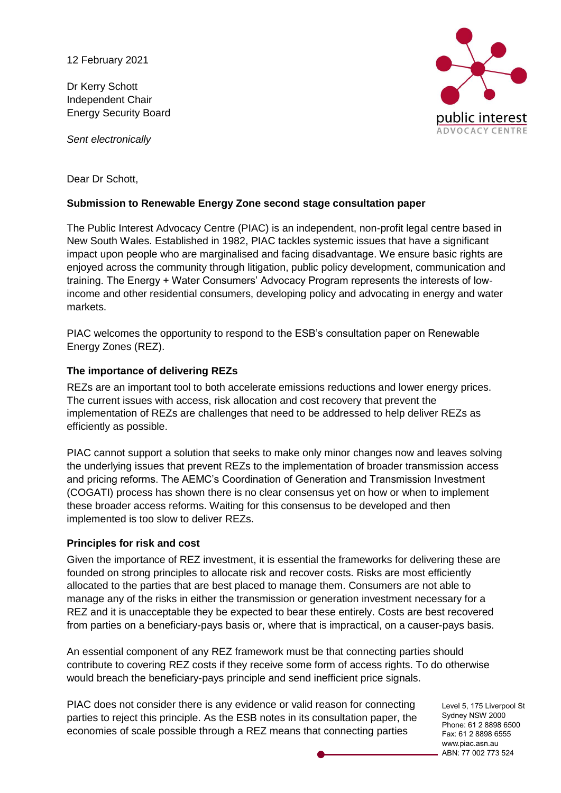12 February 2021

Dr Kerry Schott Independent Chair Energy Security Board

*Sent electronically*



Dear Dr Schott,

### **Submission to Renewable Energy Zone second stage consultation paper**

The Public Interest Advocacy Centre (PIAC) is an independent, non-profit legal centre based in New South Wales. Established in 1982, PIAC tackles systemic issues that have a significant impact upon people who are marginalised and facing disadvantage. We ensure basic rights are enjoyed across the community through litigation, public policy development, communication and training. The Energy + Water Consumers' Advocacy Program represents the interests of lowincome and other residential consumers, developing policy and advocating in energy and water markets.

PIAC welcomes the opportunity to respond to the ESB's consultation paper on Renewable Energy Zones (REZ).

#### **The importance of delivering REZs**

REZs are an important tool to both accelerate emissions reductions and lower energy prices. The current issues with access, risk allocation and cost recovery that prevent the implementation of REZs are challenges that need to be addressed to help deliver REZs as efficiently as possible.

PIAC cannot support a solution that seeks to make only minor changes now and leaves solving the underlying issues that prevent REZs to the implementation of broader transmission access and pricing reforms. The AEMC's Coordination of Generation and Transmission Investment (COGATI) process has shown there is no clear consensus yet on how or when to implement these broader access reforms. Waiting for this consensus to be developed and then implemented is too slow to deliver REZs.

#### **Principles for risk and cost**

Given the importance of REZ investment, it is essential the frameworks for delivering these are founded on strong principles to allocate risk and recover costs. Risks are most efficiently allocated to the parties that are best placed to manage them. Consumers are not able to manage any of the risks in either the transmission or generation investment necessary for a REZ and it is unacceptable they be expected to bear these entirely. Costs are best recovered from parties on a beneficiary-pays basis or, where that is impractical, on a causer-pays basis.

An essential component of any REZ framework must be that connecting parties should contribute to covering REZ costs if they receive some form of access rights. To do otherwise would breach the beneficiary-pays principle and send inefficient price signals.

PIAC does not consider there is any evidence or valid reason for connecting parties to reject this principle. As the ESB notes in its consultation paper, the economies of scale possible through a REZ means that connecting parties

Level 5, 175 Liverpool St Sydney NSW 2000 Phone: 61 2 8898 6500 Fax: 61 2 8898 6555 www.piac.asn.au ABN: 77 002 773 524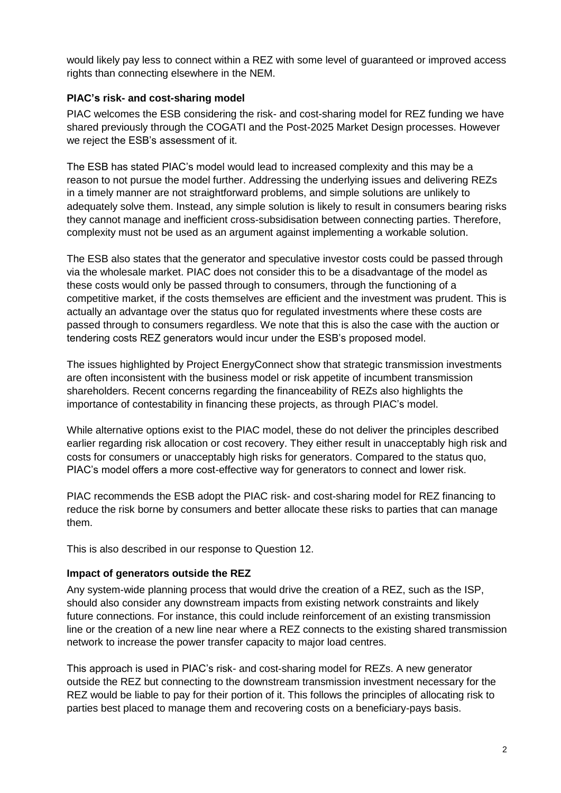would likely pay less to connect within a REZ with some level of guaranteed or improved access rights than connecting elsewhere in the NEM.

# **PIAC's risk- and cost-sharing model**

PIAC welcomes the ESB considering the risk- and cost-sharing model for REZ funding we have shared previously through the COGATI and the Post-2025 Market Design processes. However we reject the ESB's assessment of it.

The ESB has stated PIAC's model would lead to increased complexity and this may be a reason to not pursue the model further. Addressing the underlying issues and delivering REZs in a timely manner are not straightforward problems, and simple solutions are unlikely to adequately solve them. Instead, any simple solution is likely to result in consumers bearing risks they cannot manage and inefficient cross-subsidisation between connecting parties. Therefore, complexity must not be used as an argument against implementing a workable solution.

The ESB also states that the generator and speculative investor costs could be passed through via the wholesale market. PIAC does not consider this to be a disadvantage of the model as these costs would only be passed through to consumers, through the functioning of a competitive market, if the costs themselves are efficient and the investment was prudent. This is actually an advantage over the status quo for regulated investments where these costs are passed through to consumers regardless. We note that this is also the case with the auction or tendering costs REZ generators would incur under the ESB's proposed model.

The issues highlighted by Project EnergyConnect show that strategic transmission investments are often inconsistent with the business model or risk appetite of incumbent transmission shareholders. Recent concerns regarding the financeability of REZs also highlights the importance of contestability in financing these projects, as through PIAC's model.

While alternative options exist to the PIAC model, these do not deliver the principles described earlier regarding risk allocation or cost recovery. They either result in unacceptably high risk and costs for consumers or unacceptably high risks for generators. Compared to the status quo, PIAC's model offers a more cost-effective way for generators to connect and lower risk.

PIAC recommends the ESB adopt the PIAC risk- and cost-sharing model for REZ financing to reduce the risk borne by consumers and better allocate these risks to parties that can manage them.

This is also described in our response to Question 12.

### **Impact of generators outside the REZ**

Any system-wide planning process that would drive the creation of a REZ, such as the ISP, should also consider any downstream impacts from existing network constraints and likely future connections. For instance, this could include reinforcement of an existing transmission line or the creation of a new line near where a REZ connects to the existing shared transmission network to increase the power transfer capacity to major load centres.

This approach is used in PIAC's risk- and cost-sharing model for REZs. A new generator outside the REZ but connecting to the downstream transmission investment necessary for the REZ would be liable to pay for their portion of it. This follows the principles of allocating risk to parties best placed to manage them and recovering costs on a beneficiary-pays basis.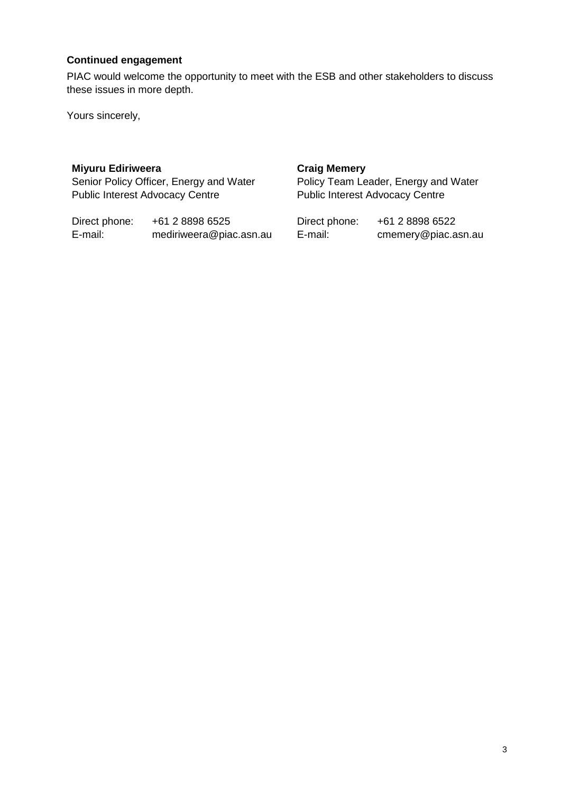# **Continued engagement**

PIAC would welcome the opportunity to meet with the ESB and other stakeholders to discuss these issues in more depth.

Yours sincerely,

#### **Miyuru Ediriweera**

Senior Policy Officer, Energy and Water Public Interest Advocacy Centre

Direct phone: +61 2 8898 6525<br>E-mail: mediriweera@pia mediriweera@piac.asn.au

#### **Craig Memery**

Policy Team Leader, Energy and Water Public Interest Advocacy Centre

| Direct phone: | +61 2 8898 6522     |
|---------------|---------------------|
| E-mail:       | cmemery@piac.asn.au |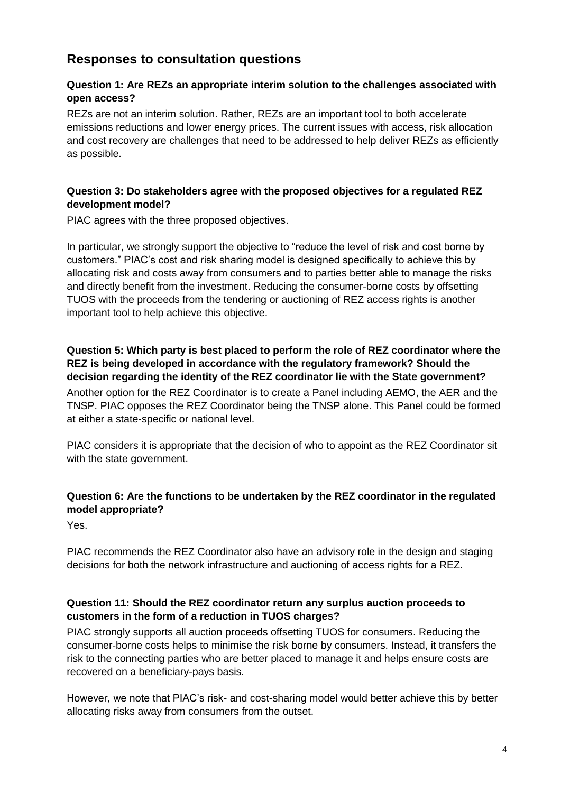# **Responses to consultation questions**

# **Question 1: Are REZs an appropriate interim solution to the challenges associated with open access?**

REZs are not an interim solution. Rather, REZs are an important tool to both accelerate emissions reductions and lower energy prices. The current issues with access, risk allocation and cost recovery are challenges that need to be addressed to help deliver REZs as efficiently as possible.

# **Question 3: Do stakeholders agree with the proposed objectives for a regulated REZ development model?**

PIAC agrees with the three proposed objectives.

In particular, we strongly support the objective to "reduce the level of risk and cost borne by customers." PIAC's cost and risk sharing model is designed specifically to achieve this by allocating risk and costs away from consumers and to parties better able to manage the risks and directly benefit from the investment. Reducing the consumer-borne costs by offsetting TUOS with the proceeds from the tendering or auctioning of REZ access rights is another important tool to help achieve this objective.

# **Question 5: Which party is best placed to perform the role of REZ coordinator where the REZ is being developed in accordance with the regulatory framework? Should the decision regarding the identity of the REZ coordinator lie with the State government?**

Another option for the REZ Coordinator is to create a Panel including AEMO, the AER and the TNSP. PIAC opposes the REZ Coordinator being the TNSP alone. This Panel could be formed at either a state-specific or national level.

PIAC considers it is appropriate that the decision of who to appoint as the REZ Coordinator sit with the state government.

# **Question 6: Are the functions to be undertaken by the REZ coordinator in the regulated model appropriate?**

Yes.

PIAC recommends the REZ Coordinator also have an advisory role in the design and staging decisions for both the network infrastructure and auctioning of access rights for a REZ.

### **Question 11: Should the REZ coordinator return any surplus auction proceeds to customers in the form of a reduction in TUOS charges?**

PIAC strongly supports all auction proceeds offsetting TUOS for consumers. Reducing the consumer-borne costs helps to minimise the risk borne by consumers. Instead, it transfers the risk to the connecting parties who are better placed to manage it and helps ensure costs are recovered on a beneficiary-pays basis.

However, we note that PIAC's risk- and cost-sharing model would better achieve this by better allocating risks away from consumers from the outset.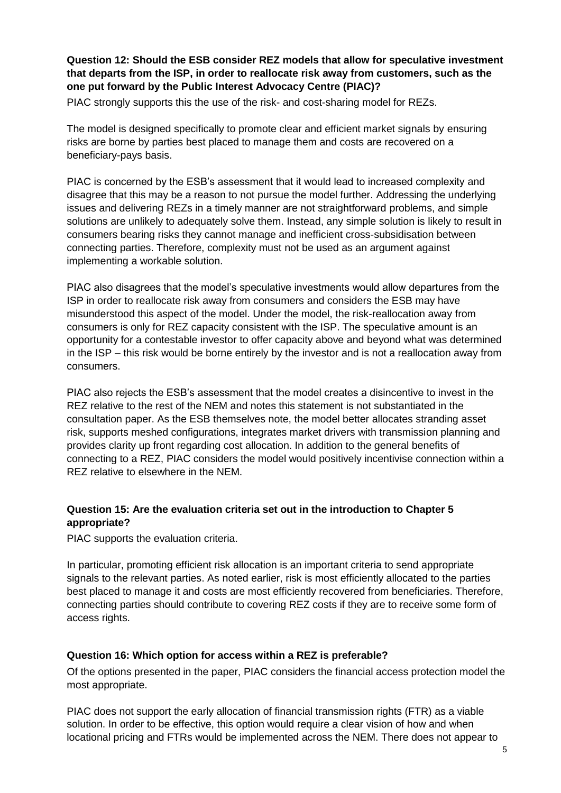**Question 12: Should the ESB consider REZ models that allow for speculative investment that departs from the ISP, in order to reallocate risk away from customers, such as the one put forward by the Public Interest Advocacy Centre (PIAC)?**

PIAC strongly supports this the use of the risk- and cost-sharing model for REZs.

The model is designed specifically to promote clear and efficient market signals by ensuring risks are borne by parties best placed to manage them and costs are recovered on a beneficiary-pays basis.

PIAC is concerned by the ESB's assessment that it would lead to increased complexity and disagree that this may be a reason to not pursue the model further. Addressing the underlying issues and delivering REZs in a timely manner are not straightforward problems, and simple solutions are unlikely to adequately solve them. Instead, any simple solution is likely to result in consumers bearing risks they cannot manage and inefficient cross-subsidisation between connecting parties. Therefore, complexity must not be used as an argument against implementing a workable solution.

PIAC also disagrees that the model's speculative investments would allow departures from the ISP in order to reallocate risk away from consumers and considers the ESB may have misunderstood this aspect of the model. Under the model, the risk-reallocation away from consumers is only for REZ capacity consistent with the ISP. The speculative amount is an opportunity for a contestable investor to offer capacity above and beyond what was determined in the ISP – this risk would be borne entirely by the investor and is not a reallocation away from consumers.

PIAC also rejects the ESB's assessment that the model creates a disincentive to invest in the REZ relative to the rest of the NEM and notes this statement is not substantiated in the consultation paper. As the ESB themselves note, the model better allocates stranding asset risk, supports meshed configurations, integrates market drivers with transmission planning and provides clarity up front regarding cost allocation. In addition to the general benefits of connecting to a REZ, PIAC considers the model would positively incentivise connection within a REZ relative to elsewhere in the NEM.

# **Question 15: Are the evaluation criteria set out in the introduction to Chapter 5 appropriate?**

PIAC supports the evaluation criteria.

In particular, promoting efficient risk allocation is an important criteria to send appropriate signals to the relevant parties. As noted earlier, risk is most efficiently allocated to the parties best placed to manage it and costs are most efficiently recovered from beneficiaries. Therefore, connecting parties should contribute to covering REZ costs if they are to receive some form of access rights.

### **Question 16: Which option for access within a REZ is preferable?**

Of the options presented in the paper, PIAC considers the financial access protection model the most appropriate.

PIAC does not support the early allocation of financial transmission rights (FTR) as a viable solution. In order to be effective, this option would require a clear vision of how and when locational pricing and FTRs would be implemented across the NEM. There does not appear to